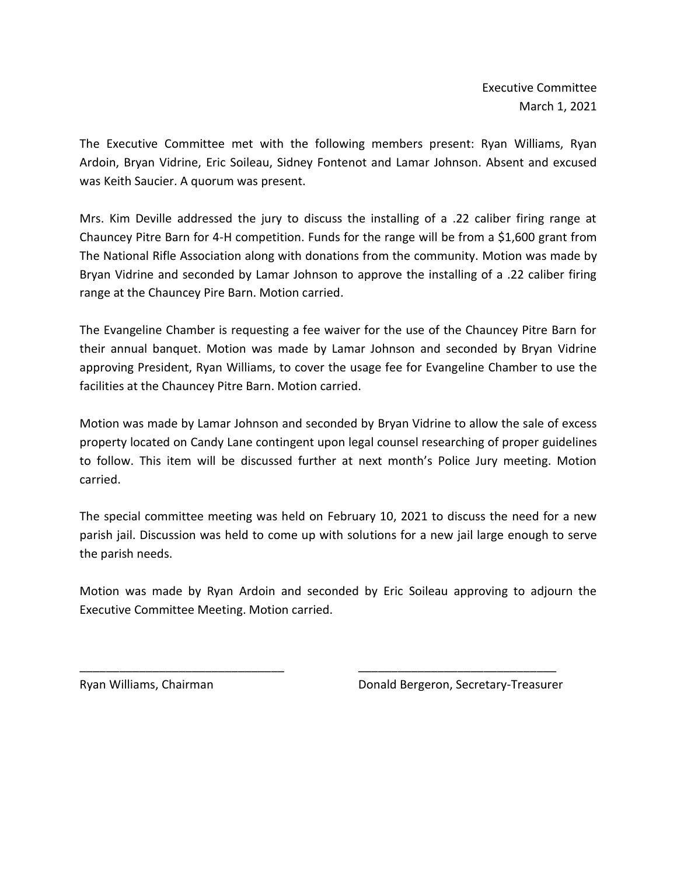The Executive Committee met with the following members present: Ryan Williams, Ryan Ardoin, Bryan Vidrine, Eric Soileau, Sidney Fontenot and Lamar Johnson. Absent and excused was Keith Saucier. A quorum was present.

Mrs. Kim Deville addressed the jury to discuss the installing of a .22 caliber firing range at Chauncey Pitre Barn for 4-H competition. Funds for the range will be from a \$1,600 grant from The National Rifle Association along with donations from the community. Motion was made by Bryan Vidrine and seconded by Lamar Johnson to approve the installing of a .22 caliber firing range at the Chauncey Pire Barn. Motion carried.

The Evangeline Chamber is requesting a fee waiver for the use of the Chauncey Pitre Barn for their annual banquet. Motion was made by Lamar Johnson and seconded by Bryan Vidrine approving President, Ryan Williams, to cover the usage fee for Evangeline Chamber to use the facilities at the Chauncey Pitre Barn. Motion carried.

Motion was made by Lamar Johnson and seconded by Bryan Vidrine to allow the sale of excess property located on Candy Lane contingent upon legal counsel researching of proper guidelines to follow. This item will be discussed further at next month's Police Jury meeting. Motion carried.

The special committee meeting was held on February 10, 2021 to discuss the need for a new parish jail. Discussion was held to come up with solutions for a new jail large enough to serve the parish needs.

Motion was made by Ryan Ardoin and seconded by Eric Soileau approving to adjourn the Executive Committee Meeting. Motion carried.

\_\_\_\_\_\_\_\_\_\_\_\_\_\_\_\_\_\_\_\_\_\_\_\_\_\_\_\_\_\_\_ \_\_\_\_\_\_\_\_\_\_\_\_\_\_\_\_\_\_\_\_\_\_\_\_\_\_\_\_\_\_

Ryan Williams, Chairman Donald Bergeron, Secretary-Treasurer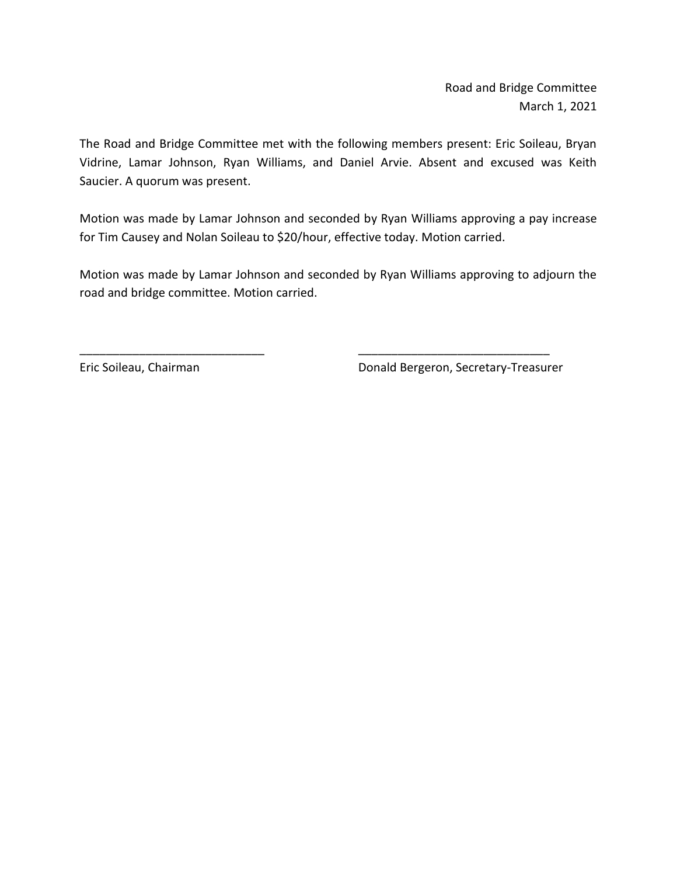Road and Bridge Committee March 1, 2021

The Road and Bridge Committee met with the following members present: Eric Soileau, Bryan Vidrine, Lamar Johnson, Ryan Williams, and Daniel Arvie. Absent and excused was Keith Saucier. A quorum was present.

Motion was made by Lamar Johnson and seconded by Ryan Williams approving a pay increase for Tim Causey and Nolan Soileau to \$20/hour, effective today. Motion carried.

Motion was made by Lamar Johnson and seconded by Ryan Williams approving to adjourn the road and bridge committee. Motion carried.

\_\_\_\_\_\_\_\_\_\_\_\_\_\_\_\_\_\_\_\_\_\_\_\_\_\_\_\_ \_\_\_\_\_\_\_\_\_\_\_\_\_\_\_\_\_\_\_\_\_\_\_\_\_\_\_\_\_

Eric Soileau, Chairman **Donald Bergeron**, Secretary-Treasurer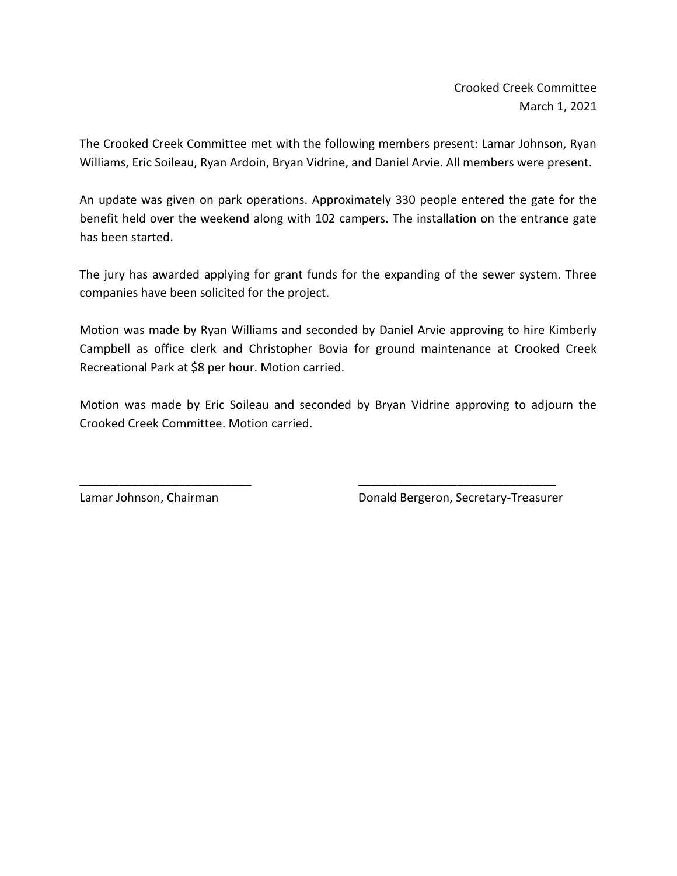Crooked Creek Committee March 1, 2021

The Crooked Creek Committee met with the following members present: Lamar Johnson, Ryan Williams, Eric Soileau, Ryan Ardoin, Bryan Vidrine, and Daniel Arvie. All members were present.

An update was given on park operations. Approximately 330 people entered the gate for the benefit held over the weekend along with 102 campers. The installation on the entrance gate has been started.

The jury has awarded applying for grant funds for the expanding of the sewer system. Three companies have been solicited for the project.

Motion was made by Ryan Williams and seconded by Daniel Arvie approving to hire Kimberly Campbell as office clerk and Christopher Bovia for ground maintenance at Crooked Creek Recreational Park at \$8 per hour. Motion carried.

Motion was made by Eric Soileau and seconded by Bryan Vidrine approving to adjourn the Crooked Creek Committee. Motion carried.

\_\_\_\_\_\_\_\_\_\_\_\_\_\_\_\_\_\_\_\_\_\_\_\_\_\_ \_\_\_\_\_\_\_\_\_\_\_\_\_\_\_\_\_\_\_\_\_\_\_\_\_\_\_\_\_\_

Lamar Johnson, Chairman **Donald Bergeron, Secretary-Treasurer**